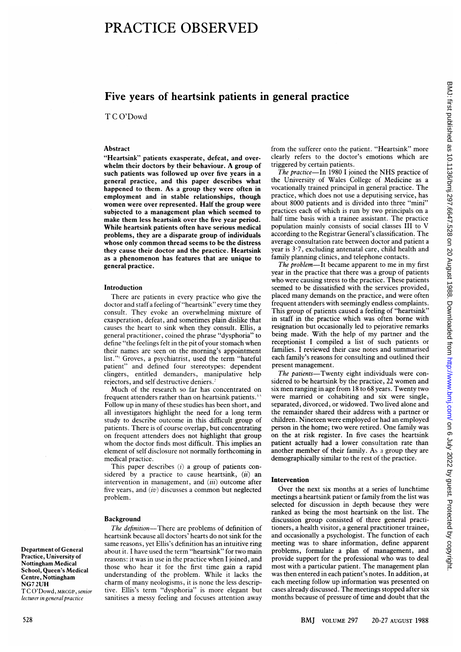# PRACTICE OBSERVED

## Five years of heartsink patients in general practice

T C O'Dowd

### Abstract

"Heartsink" patients exasperate, defeat, and overwhelm their doctors by their behaviour. A group of such patients was followed up over five years in a general practice, and this paper describes what happened to them. As a group they were often in employment and in stable relationships, though women were over represented. Half the group were subjected to a management plan which seemed to make them less heartsink over the five year period. While heartsink patients often have serious medical problems, they are a disparate group of individuals whose only common thread seems to be the distress they cause their doctor and the practice. Heartsink as a phenomenon has features that are unique to general practice.

### Introduction

There are patients in every practice who give the doctor and staff a feeling of "heartsink" every time they consult. They evoke an overwhelming mixture of exasperation, defeat, and sometimes plain dislike that causes the heart to sink when they consult. Ellis, a general practitioner, coined the phrase "dysphoria" to define "the feelings felt in the pit of your stomach when their names are seen on the morning's appointment list."' Groves, a psychiatrist, used the term "hateful patient" and defined four stereotypes: dependent clingers, entitled demanders, manipulative help rejectors, and self destructive deniers.'

Much of the research so far has concentrated on frequent attenders rather than on heartsink patients.<sup>34</sup> Follow up in many of these studies has been short, and all investigators highlight the need for a long term study to describe outcome in this difficult group of patients. There is of course overlap, but concentrating on frequent attenders does not highlight that group whom the doctor finds most difficult. This implies an element of self disclosure not normally forthcoming in medical practice.

This paper describes  $(i)$  a group of patients considered by a practice to cause heartsink,  $(ii)$  an intervention in management, and  $(iii)$  outcome after five years, and  $(iv)$  discusses a common but neglected problem.

#### Background

The definition-There are problems of definition of heartsink because all doctors' hearts do not sink for the same reasons, yet Ellis's definition has an intuitive ring about it. <sup>I</sup> have used the term "heartsink" for two main reasons: it was in use in the practice when <sup>I</sup> joined, and those who hear it for the first time gain <sup>a</sup> rapid understanding of the problem. While it lacks the charm of many neologisms, it is none the less descriptive. Ellis's term "dysphoria" is more elegant but sanitises a messy feeling and focuses attention away

from the sufferer onto the patient. "Heartsink" more clearly refers to the doctor's emotions which are triggered by certain patients.

The practice-In 1980 I joined the NHS practice of the University of Wales College of Medicine as a vocationally trained principal in general practice. The practice, which does not use a deputising service, has about 8000 patients and is divided into three "mini" practices each of which is run by two principals on a half time basis with a trainee assistant. The practice population mainly consists of social classes III to V according to the Registrar General's classification. The average consultation rate between doctor and patient a year is 3.7, excluding antenatal care, child health and family planning clinics, and telephone contacts.

The problem-It became apparent to me in my first year in the practice that there was a group of patients who were causing stress to the practice. These patients seemed to be dissatisfied with the services provided, placed many demands on the practice, and were often frequent attenders with seemingly endless complaints. This group of patients caused a feeling of "heartsink" in staff in the practice which was often borne with resignation but occasionally led to pejorative remarks being made. With the help of my partner and the receptionist <sup>I</sup> compiled a list of such patients or families. <sup>I</sup> reviewed their case notes and summarised each family's reasons for consulting and outlined their present management.

The patients-Twenty eight individuals were considered to be heartsink by the practice, 22 women and six men ranging in age from <sup>18</sup> to 68 years. Twenty two were married or cohabiting and six were single, separated, divorced, or widowed. Two lived alone and the remainder shared their address with a partner or children. Nineteen were employed or had an employed person in the home; two were retired. One family was on the at risk register. In five cases the heartsink patient actually had a lower consultation rate than another member of their family. As <sup>a</sup> group they are demographically similar to the rest of the practice.

### Intervention

Over the next six months at a series of lunchtime meetings a heartsink patient or family from the list was selected for discussion in depth because they were ranked as being the most heartsink on the list. The discussion group consisted of three general practitioners, a health visitor, a general practitioner trainee, and occasionally a psychologist. The function of each meeting was to share information, define apparent problems, formulate a plan of management, and provide support for the professional who was to deal most with <sup>a</sup> particular patient. The management plan was then entered in each patient's notes. In addition, at each meeting follow up information was presented on cases already discussed. The meetings stopped after six months because of pressure of time and doubt that the

Department of General Practice, University of Nottingham Medical School, Queen's Medical Centre, Nottingham NG7 2UH T C O'Dowd, MRCGP, senior lecturer in general practice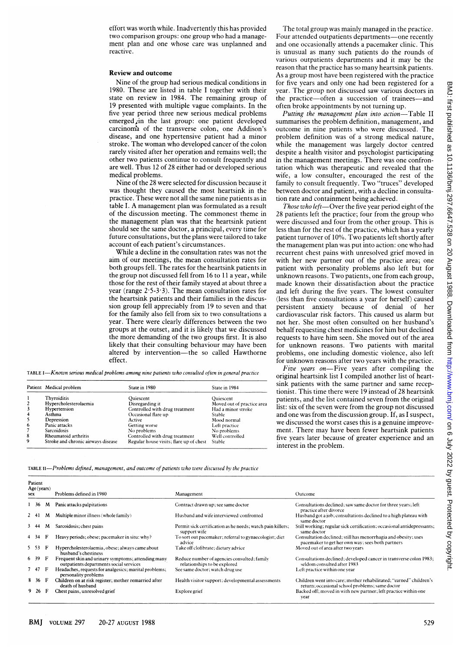effort was worth while. Inadvertently this has provided two comparison groups: one group who had <sup>a</sup> management plan and one whose care was unplanned and reactive.

#### Review and outcome

Nine of the group had serious medical conditions in 1980. These are listed in table <sup>I</sup> together with their state on review in 1984. The remaining group of 19 presented with multiple vague complaints. In the five year period three new serious medical problems emerged in the last group: one patient developed carcinoma of the transverse colon, one Addison's disease, and one hypertensive patient had a minor stroke. The woman who developed cancer of the colon rarely visited after her operation and remains well; the other two patients continue to consult frequently and are well. Thus 12 of 28 either had or developed serious medical problems.

Nine of the 28 were selected for discussion because it was thought they caused the most heartsink in the practice. These were not all the same nine patients as in table I. A management plan was formulated as <sup>a</sup> result of the discussion meeting. The commonest theme in the management plan was that the heartsink patient should see the same doctor, a principal, every time for future consultations, but the plans were tailored to take account of each patient's circumstances.

While a decline in the consultation rates was not the aim of our meetings, the mean consultation rates for both groups fell. The rates for the heartsink patients in the group not discussed fell from 16 to 11 a year, while those for the rest of their family stayed at about three a year (range  $2.5-3.3$ ). The mean consultation rates for the heartsink patients and their families in the discussion group fell appreciably from 19 to seven and that for the family also fell from six to two consultations a year. There were clearly differences between the two groups at the outset, and it is likely that we discussed the more demanding of the two groups first. It is also likely that their consulting behaviour may have been altered by intervention—the so called Hawthorne effect.

TABLE I-Known serious medical problems among nine patients who consulted often in general practice

|   | Patient Medical problem            | State in 1980                           | State in 1984              |
|---|------------------------------------|-----------------------------------------|----------------------------|
|   | Thyroiditis                        | Ouiescent                               | Quiescent                  |
| 2 | Hypercholesterolaemia              | Disregarding it                         | Moved out of practice area |
| 3 | Hypertension                       | Controlled with drug treatment          | Had a minor stroke         |
| 4 | Asthma                             | Occasional flare up                     | <b>Stable</b>              |
| 5 | Depression                         | Active                                  | Mood normal                |
| 6 | Panic attacks                      | Getting worse                           | Left practice              |
|   | <b>Sarcoidosis</b>                 | No problems                             | No problems                |
| 8 | Rheumatoid arthritis               | Controlled with drug treatment          | Well controlled            |
| 9 | Stroke and chronic airways disease | Regular house visits; flare up of chest | Stable                     |

The total group was mainily managed in the practice. Four attended outpatients departments-one recently and one occasionally attends a pacemaker clinic. This is unusual as many such patients do the rounds of various outpatients departments and it may be the reason that the practice has so many heartsink patients. As a group most have been registered with the practice for five years and only one had been registered for a year. The group not discussed saw various doctors in the practice-often a succession of trainees-and often broke appointments by not turning up.

Putting the management plan into action-Table II summarises the problem definition, management, and outcome in nine patients who were discussed. The problem definition was of a strong medical nature, while the management was largely doctor centred despite a health visitor and psychologist participating in the management meetings. There was one confrontation which was therapeutic and revealed that the wife, a low consulter, encouraged the rest of the family to consult frequently. Two "truces" developed between doctor and patient, with a decline in consultation rate and containment being achieved.

Those who left-Over the five year period eight of the 28 patients left the practice; four from the group who were discussed and four from the other group. This is less than for the rest of the practice, which has a yearly patient turnover of 10%. Two patients left shortly after the management plan was put into action: one who had recurrent chest pains with unresolved grief moved in with her new partner out of the practice area; one patient with personality problems also left but for unknown reasons. Two patients, one from each group, made known their dissatisfaction about the practice and left during the five years. The lowest consulter (less than five consultations a year for herself) caused persistent anxiety because of denial of her cardiovascular risk factors. This caused us alarm but not her. She most often consulted on her husband's behalf requesting chest medicines for him but declined requests to have him seen. She moved out of the area for unknown reasons. Two patients with marital problems, one including domestic violence, also left for unknown reasons after two years with the practice.

Five years on-Five years after compiling the original heartsink list <sup>I</sup> compiled another list of heartsink patients with the same partner and same receptionist. This time there were 19 instead of 28 heartsink patients, and the list contained seven from the original list: six of the seven were from the group not discussed and one was from the discussion group. If, as <sup>I</sup> suspect, we discussed the worst cases this is a genuine improvement. There may have been fewer heartsink patients five years later because of greater experience and an interest in the problem.

TABLE  $II-Problems defined, management, and outcome of patients who were discussed by the practice$ 

| sex | Patient<br>Age (years) |     | Problems defined in 1980                                                                      | Management                                                                  | Outcome                                                                                                               |
|-----|------------------------|-----|-----------------------------------------------------------------------------------------------|-----------------------------------------------------------------------------|-----------------------------------------------------------------------------------------------------------------------|
|     | - 36                   | M   | Panic attacks palpitations                                                                    | Contract drawn up; see same doctor                                          | Consultations declined; saw same doctor for three years; left<br>practice after divorce                               |
|     | $2 \quad 41$           | M   | Multiple minor illness (whole family)                                                         | Husband and wife interviewed/confronted                                     | Husband got a job; consultations declined to a high plateau with<br>same doctor                                       |
|     | $3 \quad 44$           | M   | Sarcoidosis; chest pains                                                                      | Permit sick certification as he needs; watch pain killers;<br>support wife  | Still working; regular sick certification; occasional antidepressants;<br>same doctor                                 |
|     | $4 \quad 34$           | F   | Heavy periods; obese; pacemaker in situ: why?                                                 | To sort out pacemaker; referral to gynaecologist; diet<br>advice            | Consultation declined; still has menorrhagia and obesity; uses<br>pacemaker to get her own way; sees both partners    |
|     | 5 53                   | F   | Hypercholesterolaemia, obese; always came about<br>husband's chestiness                       | Take off clofibrate; dietary advice                                         | Moved out of area after two years                                                                                     |
|     | 6 39                   | F   | Frequent skin and urinary symptoms; attending many<br>outpatients departments social services | Reduce number of agencies consulted; family<br>relationships to be explored | Consultations declined; developed cancer in transverse colon 1983;<br>seldom consulted after 1983                     |
|     | - 47                   | - F | Headaches, requests for analgesics; marital problems;<br>personality problems                 | See same doctor; watch drug use                                             | Left practice within one year                                                                                         |
|     | 8 36                   | F   | Children on at risk register; mother remarried after<br>death of husband                      | Health visitor support; developmental assessments                           | Children went into care; mother rehabilitated; "earned" children's<br>return; occasional school problems; same doctor |
|     | 9 26                   | F   | Chest pains, unresolved grief                                                                 | Explore grief                                                               | Backed off; moved in with new partner; left practice within one<br>vear                                               |